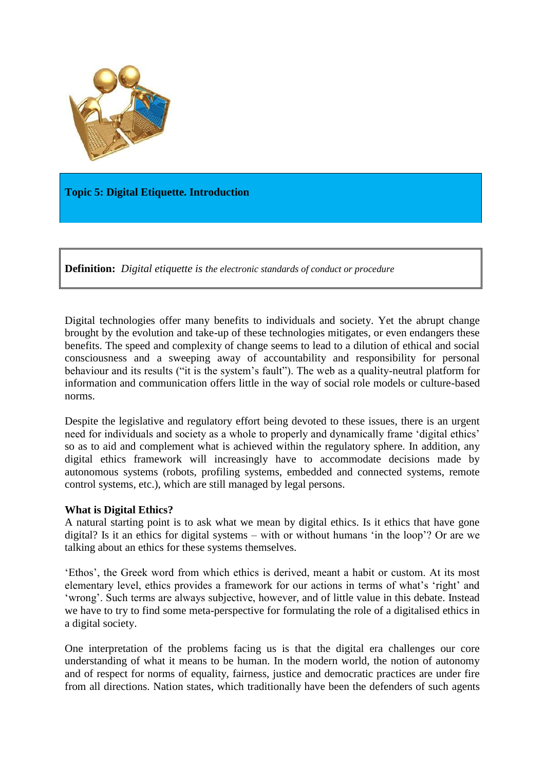

**Topic 5: Digital Etiquette. Introduction**

**Definition:** *Digital etiquette is the electronic standards of conduct or procedure*

Digital technologies offer many benefits to individuals and society. Yet the abrupt change brought by the evolution and take-up of these technologies mitigates, or even endangers these benefits. The speed and complexity of change seems to lead to a dilution of ethical and social consciousness and a sweeping away of accountability and responsibility for personal behaviour and its results ("it is the system's fault"). The web as a quality-neutral platform for information and communication offers little in the way of social role models or culture-based norms.

Despite the legislative and regulatory effort being devoted to these issues, there is an urgent need for individuals and society as a whole to properly and dynamically frame 'digital ethics' so as to aid and complement what is achieved within the regulatory sphere. In addition, any digital ethics framework will increasingly have to accommodate decisions made by autonomous systems (robots, profiling systems, embedded and connected systems, remote control systems, etc.), which are still managed by legal persons.

## **What is Digital Ethics?**

A natural starting point is to ask what we mean by digital ethics. Is it ethics that have gone digital? Is it an ethics for digital systems – with or without humans 'in the loop'? Or are we talking about an ethics for these systems themselves.

'Ethos', the Greek word from which ethics is derived, meant a habit or custom. At its most elementary level, ethics provides a framework for our actions in terms of what's 'right' and 'wrong'. Such terms are always subjective, however, and of little value in this debate. Instead we have to try to find some meta-perspective for formulating the role of a digitalised ethics in a digital society.

One interpretation of the problems facing us is that the digital era challenges our core understanding of what it means to be human. In the modern world, the notion of autonomy and of respect for norms of equality, fairness, justice and democratic practices are under fire from all directions. Nation states, which traditionally have been the defenders of such agents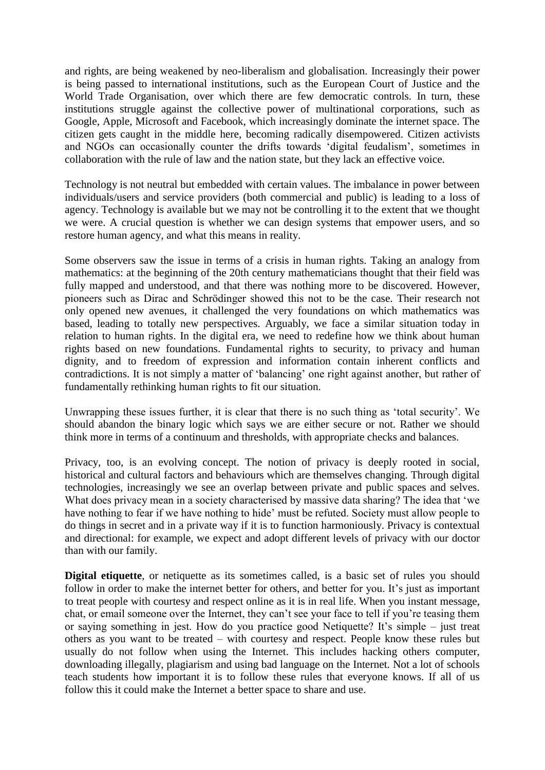and rights, are being weakened by neo-liberalism and globalisation. Increasingly their power is being passed to international institutions, such as the European Court of Justice and the World Trade Organisation, over which there are few democratic controls. In turn, these institutions struggle against the collective power of multinational corporations, such as Google, Apple, Microsoft and Facebook, which increasingly dominate the internet space. The citizen gets caught in the middle here, becoming radically disempowered. Citizen activists and NGOs can occasionally counter the drifts towards 'digital feudalism', sometimes in collaboration with the rule of law and the nation state, but they lack an effective voice.

Technology is not neutral but embedded with certain values. The imbalance in power between individuals/users and service providers (both commercial and public) is leading to a loss of agency. Technology is available but we may not be controlling it to the extent that we thought we were. A crucial question is whether we can design systems that empower users, and so restore human agency, and what this means in reality.

Some observers saw the issue in terms of a crisis in human rights. Taking an analogy from mathematics: at the beginning of the 20th century mathematicians thought that their field was fully mapped and understood, and that there was nothing more to be discovered. However, pioneers such as Dirac and Schrödinger showed this not to be the case. Their research not only opened new avenues, it challenged the very foundations on which mathematics was based, leading to totally new perspectives. Arguably, we face a similar situation today in relation to human rights. In the digital era, we need to redefine how we think about human rights based on new foundations. Fundamental rights to security, to privacy and human dignity, and to freedom of expression and information contain inherent conflicts and contradictions. It is not simply a matter of 'balancing' one right against another, but rather of fundamentally rethinking human rights to fit our situation.

Unwrapping these issues further, it is clear that there is no such thing as 'total security'. We should abandon the binary logic which says we are either secure or not. Rather we should think more in terms of a continuum and thresholds, with appropriate checks and balances.

Privacy, too, is an evolving concept. The notion of privacy is deeply rooted in social, historical and cultural factors and behaviours which are themselves changing. Through digital technologies, increasingly we see an overlap between private and public spaces and selves. What does privacy mean in a society characterised by massive data sharing? The idea that 'we have nothing to fear if we have nothing to hide' must be refuted. Society must allow people to do things in secret and in a private way if it is to function harmoniously. Privacy is contextual and directional: for example, we expect and adopt different levels of privacy with our doctor than with our family.

**Digital etiquette**, or netiquette as its sometimes called, is a basic set of rules you should follow in order to make the internet better for others, and better for you. It's just as important to treat people with courtesy and respect online as it is in real life. When you instant message, chat, or email someone over the Internet, they can't see your face to tell if you're teasing them or saying something in jest. How do you practice good Netiquette? It's simple – just treat others as you want to be treated – with courtesy and respect. People know these rules but usually do not follow when using the Internet. This includes hacking others computer, downloading illegally, plagiarism and using bad language on the Internet. Not a lot of schools teach students how important it is to follow these rules that everyone knows. If all of us follow this it could make the Internet a better space to share and use.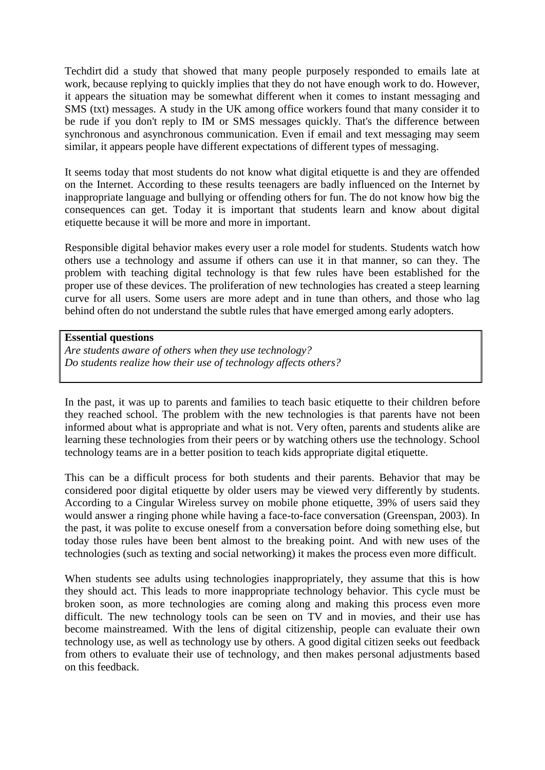Techdirt did a study that showed that many people purposely responded to emails late at work, because replying to quickly implies that they do not have enough work to do. However, it appears the situation may be somewhat different when it comes to instant messaging and SMS (txt) messages. A study in the UK among office workers found that many consider it to be rude if you don't reply to IM or SMS messages quickly. That's the difference between synchronous and asynchronous communication. Even if email and text messaging may seem similar, it appears people have different expectations of different types of messaging.

It seems today that most students do not know what digital etiquette is and they are offended on the Internet. According to these results teenagers are badly influenced on the Internet by inappropriate language and bullying or offending others for fun. The do not know how big the consequences can get. Today it is important that students learn and know about digital etiquette because it will be more and more in important.

Responsible digital behavior makes every user a role model for students. Students watch how others use a technology and assume if others can use it in that manner, so can they. The problem with teaching digital technology is that few rules have been established for the proper use of these devices. The proliferation of new technologies has created a steep learning curve for all users. Some users are more adept and in tune than others, and those who lag behind often do not understand the subtle rules that have emerged among early adopters.

## **Essential questions**

*Are students aware of others when they use technology? Do students realize how their use of technology affects others?*

In the past, it was up to parents and families to teach basic etiquette to their children before they reached school. The problem with the new technologies is that parents have not been informed about what is appropriate and what is not. Very often, parents and students alike are learning these technologies from their peers or by watching others use the technology. School technology teams are in a better position to teach kids appropriate digital etiquette.

This can be a difficult process for both students and their parents. Behavior that may be considered poor digital etiquette by older users may be viewed very differently by students. According to a Cingular Wireless survey on mobile phone etiquette, 39% of users said they would answer a ringing phone while having a face-to-face conversation (Greenspan, 2003). In the past, it was polite to excuse oneself from a conversation before doing something else, but today those rules have been bent almost to the breaking point. And with new uses of the technologies (such as texting and social networking) it makes the process even more difficult.

When students see adults using technologies inappropriately, they assume that this is how they should act. This leads to more inappropriate technology behavior. This cycle must be broken soon, as more technologies are coming along and making this process even more difficult. The new technology tools can be seen on TV and in movies, and their use has become mainstreamed. With the lens of digital citizenship, people can evaluate their own technology use, as well as technology use by others. A good digital citizen seeks out feedback from others to evaluate their use of technology, and then makes personal adjustments based on this feedback.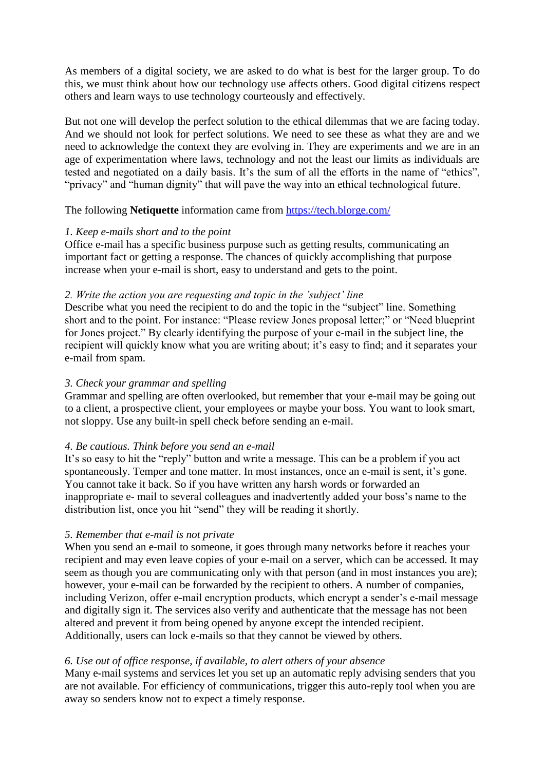As members of a digital society, we are asked to do what is best for the larger group. To do this, we must think about how our technology use affects others. Good digital citizens respect others and learn ways to use technology courteously and effectively.

But not one will develop the perfect solution to the ethical dilemmas that we are facing today. And we should not look for perfect solutions. We need to see these as what they are and we need to acknowledge the context they are evolving in. They are experiments and we are in an age of experimentation where laws, technology and not the least our limits as individuals are tested and negotiated on a daily basis. It's the sum of all the efforts in the name of "ethics", "privacy" and "human dignity" that will pave the way into an ethical technological future.

The following **Netiquette** information came from <https://tech.blorge.com/>

# *1. Keep e-mails short and to the point*

Office e-mail has a specific business purpose such as getting results, communicating an important fact or getting a response. The chances of quickly accomplishing that purpose increase when your e-mail is short, easy to understand and gets to the point.

# *2. Write the action you are requesting and topic in the 'subject' line*

Describe what you need the recipient to do and the topic in the "subject" line. Something short and to the point. For instance: "Please review Jones proposal letter;" or "Need blueprint for Jones project." By clearly identifying the purpose of your e-mail in the subject line, the recipient will quickly know what you are writing about; it's easy to find; and it separates your e-mail from spam.

# *3. Check your grammar and spelling*

Grammar and spelling are often overlooked, but remember that your e-mail may be going out to a client, a prospective client, your employees or maybe your boss. You want to look smart, not sloppy. Use any built-in spell check before sending an e-mail.

# *4. Be cautious. Think before you send an e-mail*

It's so easy to hit the "reply" button and write a message. This can be a problem if you act spontaneously. Temper and tone matter. In most instances, once an e-mail is sent, it's gone. You cannot take it back. So if you have written any harsh words or forwarded an inappropriate e- mail to several colleagues and inadvertently added your boss's name to the distribution list, once you hit "send" they will be reading it shortly.

## *5. Remember that e-mail is not private*

When you send an e-mail to someone, it goes through many networks before it reaches your recipient and may even leave copies of your e-mail on a server, which can be accessed. It may seem as though you are communicating only with that person (and in most instances you are); however, your e-mail can be forwarded by the recipient to others. A number of companies, including Verizon, offer e-mail encryption products, which encrypt a sender's e-mail message and digitally sign it. The services also verify and authenticate that the message has not been altered and prevent it from being opened by anyone except the intended recipient. Additionally, users can lock e-mails so that they cannot be viewed by others.

# *6. Use out of office response, if available, to alert others of your absence*

Many e-mail systems and services let you set up an automatic reply advising senders that you are not available. For efficiency of communications, trigger this auto-reply tool when you are away so senders know not to expect a timely response.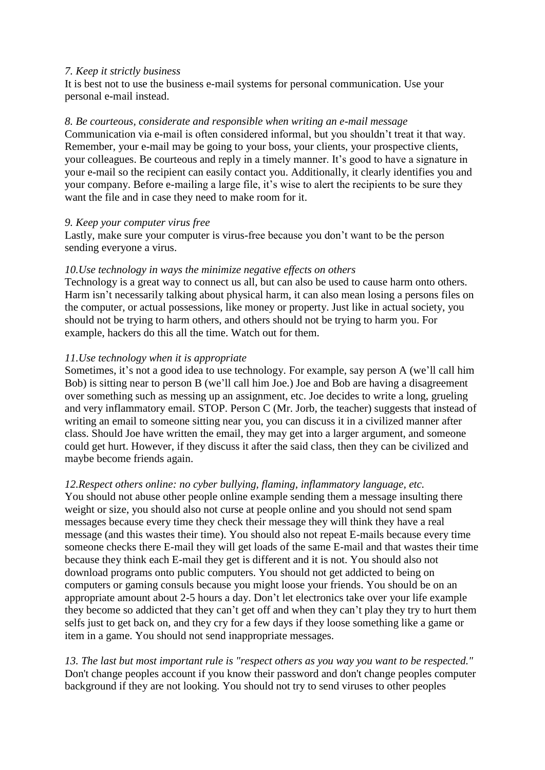## *7. Keep it strictly business*

It is best not to use the business e-mail systems for personal communication. Use your personal e-mail instead.

#### *8. Be courteous, considerate and responsible when writing an e-mail message*

Communication via e-mail is often considered informal, but you shouldn't treat it that way. Remember, your e-mail may be going to your boss, your clients, your prospective clients, your colleagues. Be courteous and reply in a timely manner. It's good to have a signature in your e-mail so the recipient can easily contact you. Additionally, it clearly identifies you and your company. Before e-mailing a large file, it's wise to alert the recipients to be sure they want the file and in case they need to make room for it.

#### *9. Keep your computer virus free*

Lastly, make sure your computer is virus-free because you don't want to be the person sending everyone a virus.

#### *10.Use technology in ways the minimize negative effects on others*

Technology is a great way to connect us all, but can also be used to cause harm onto others. Harm isn't necessarily talking about physical harm, it can also mean losing a persons files on the computer, or actual possessions, like money or property. Just like in actual society, you should not be trying to harm others, and others should not be trying to harm you. For example, hackers do this all the time. Watch out for them.

## *11.Use technology when it is appropriate*

Sometimes, it's not a good idea to use technology. For example, say person A (we'll call him Bob) is sitting near to person B (we'll call him Joe.) Joe and Bob are having a disagreement over something such as messing up an assignment, etc. Joe decides to write a long, grueling and very inflammatory email. STOP. Person C (Mr. Jorb, the teacher) suggests that instead of writing an email to someone sitting near you, you can discuss it in a civilized manner after class. Should Joe have written the email, they may get into a larger argument, and someone could get hurt. However, if they discuss it after the said class, then they can be civilized and maybe become friends again.

#### *12.Respect others online: no cyber bullying, flaming, inflammatory language, etc.*

You should not abuse other people online example sending them a message insulting there weight or size, you should also not curse at people online and you should not send spam messages because every time they check their message they will think they have a real message (and this wastes their time). You should also not repeat E-mails because every time someone checks there E-mail they will get loads of the same E-mail and that wastes their time because they think each E-mail they get is different and it is not. You should also not download programs onto public computers. You should not get addicted to being on computers or gaming consuls because you might loose your friends. You should be on an appropriate amount about 2-5 hours a day. Don't let electronics take over your life example they become so addicted that they can't get off and when they can't play they try to hurt them selfs just to get back on, and they cry for a few days if they loose something like a game or item in a game. You should not send inappropriate messages.

*13. The last but most important rule is "respect others as you way you want to be respected."* Don't change peoples account if you know their password and don't change peoples computer background if they are not looking. You should not try to send viruses to other peoples